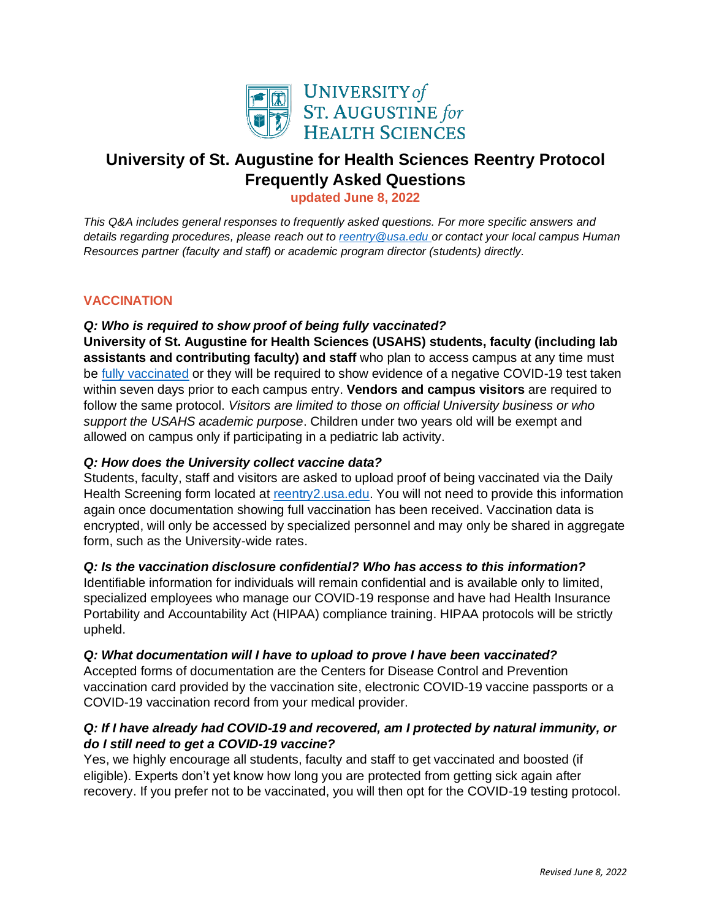

# **University of St. Augustine for Health Sciences Reentry Protocol Frequently Asked Questions**

**updated June 8, 2022**

*This Q&A includes general responses to frequently asked questions. For more specific answers and details regarding procedures, please reach out to [reentry@usa.edu](mailto:reentry@usa.edu) or contact your local campus Human Resources partner (faculty and staff) or academic program director (students) directly.* 

## **VACCINATION**

# *Q: Who is required to show proof of being fully vaccinated?*

**University of St. Augustine for Health Sciences (USAHS) students, faculty (including lab assistants and contributing faculty) and staff** who plan to access campus at any time must be [fully vaccinated](https://www.cdc.gov/coronavirus/2019-ncov/vaccines/fully-vaccinated.html?s_cid=11350:cdc%20guidance%20fully%20vaccinated:sem.ga:p:RG:GM:gen:PTN:FY21) or they will be required to show evidence of a negative COVID-19 test taken within seven days prior to each campus entry. **Vendors and campus visitors** are required to follow the same protocol. *Visitors are limited to those on official University business or who support the USAHS academic purpose*. Children under two years old will be exempt and allowed on campus only if participating in a pediatric lab activity.

## *Q: How does the University collect vaccine data?*

Students, faculty, staff and visitors are asked to upload proof of being vaccinated via the Daily Health Screening form located at [reentry2.usa.edu.](https://reentry2.usa.edu/) You will not need to provide this information again once documentation showing full vaccination has been received. Vaccination data is encrypted, will only be accessed by specialized personnel and may only be shared in aggregate form, such as the University-wide rates.

## *Q: Is the vaccination disclosure confidential? Who has access to this information?*

Identifiable information for individuals will remain confidential and is available only to limited, specialized employees who manage our COVID-19 response and have had Health Insurance Portability and Accountability Act (HIPAA) compliance training. HIPAA protocols will be strictly upheld.

## *Q: What documentation will I have to upload to prove I have been vaccinated?*

Accepted forms of documentation are the Centers for Disease Control and Prevention vaccination card provided by the vaccination site, electronic COVID-19 vaccine passports or a COVID-19 vaccination record from your medical provider.

# *Q: If I have already had COVID-19 and recovered, am I protected by natural immunity, or do I still need to get a COVID-19 vaccine?*

Yes, we highly encourage all students, faculty and staff to get vaccinated and boosted (if eligible). Experts don't yet know how long you are protected from getting sick again after recovery. If you prefer not to be vaccinated, you will then opt for the COVID-19 testing protocol.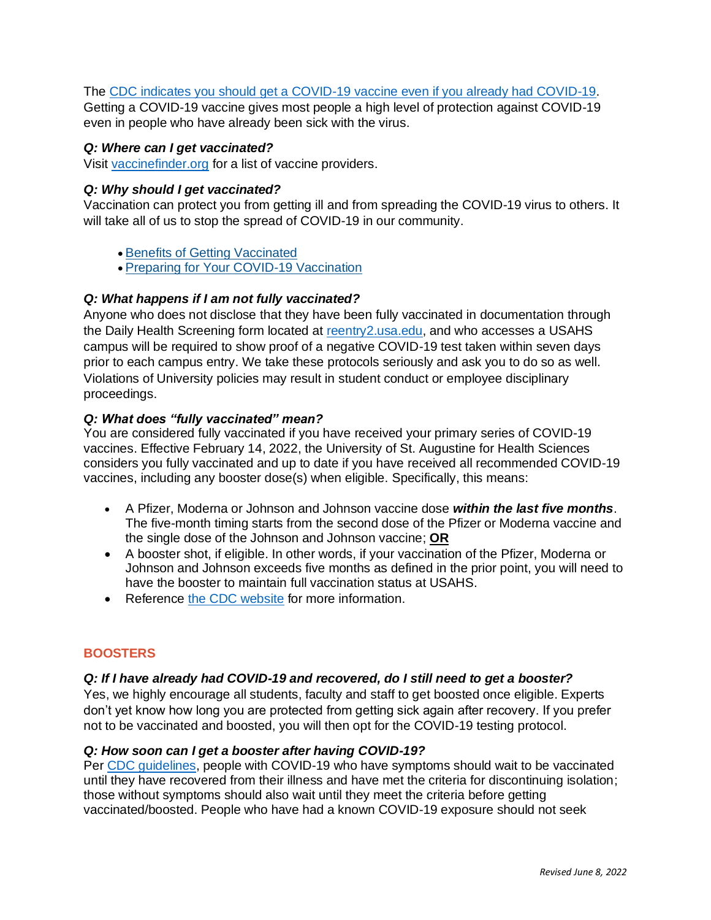#### The [CDC indicates you should get a COVID-19](https://www.cdc.gov/coronavirus/2019-ncov/vaccines/faq.html) vaccine even if you already had COVID-19.

Getting a COVID-19 vaccine gives most people a high level of protection against COVID-19 even in people who have already been sick with the virus.

#### *Q: Where can I get vaccinated?*

Visit [vaccinefinder.org](https://www.vaccines.gov/) for a list of vaccine providers.

#### *Q: Why should I get vaccinated?*

Vaccination can protect you from getting ill and from spreading the COVID-19 virus to others. It will take all of us to stop the spread of COVID-19 in our community.

- [Benefits of Getting Vaccinated](https://www.cdc.gov/coronavirus/2019-ncov/vaccines/vaccine-benefits.html)
- [Preparing for Your COVID-19 Vaccination](https://www.cdc.gov/coronavirus/2019-ncov/vaccines/prepare-for-vaccination.html)

#### *Q: What happens if I am not fully vaccinated?*

Anyone who does not disclose that they have been fully vaccinated in documentation through the Daily Health Screening form located at [reentry2.usa.edu,](https://reentry2.usa.edu/) and who accesses a USAHS campus will be required to show proof of a negative COVID-19 test taken within seven days prior to each campus entry. We take these protocols seriously and ask you to do so as well. Violations of University policies may result in student conduct or employee disciplinary proceedings.

#### *Q: What does "fully vaccinated" mean?*

You are considered fully vaccinated if you have received your primary series of COVID-19 vaccines. Effective February 14, 2022, the University of St. Augustine for Health Sciences considers you fully vaccinated and up to date if you have received all recommended COVID-19 vaccines, including any booster dose(s) when eligible. Specifically, this means:

- A Pfizer, Moderna or Johnson and Johnson vaccine dose *within the last five months*. The five-month timing starts from the second dose of the Pfizer or Moderna vaccine and the single dose of the Johnson and Johnson vaccine; **OR**
- A booster shot, if eligible. In other words, if your vaccination of the Pfizer, Moderna or Johnson and Johnson exceeds five months as defined in the prior point, you will need to have the booster to maintain full vaccination status at USAHS.
- Reference [the CDC website](https://www.cdc.gov/coronavirus/2019-ncov/vaccines/fully-vaccinated.html?s_cid=11350:cdc%20guidance%20fully%20vaccinated:sem.ga:p:RG:GM:gen:PTN:FY21) for more information.

## **BOOSTERS**

#### *Q: If I have already had COVID-19 and recovered, do I still need to get a booster?*

Yes, we highly encourage all students, faculty and staff to get boosted once eligible. Experts don't yet know how long you are protected from getting sick again after recovery. If you prefer not to be vaccinated and boosted, you will then opt for the COVID-19 testing protocol.

#### *Q: How soon can I get a booster after having COVID-19?*

Per [CDC guidelines,](https://www.cdc.gov/coronavirus/2019-ncov/vaccines/faq.html) people with COVID-19 who have symptoms should wait to be vaccinated until they have recovered from their illness and have met the criteria for discontinuing isolation; those without symptoms should also wait until they meet the criteria before getting vaccinated/boosted. People who have had a known COVID-19 exposure should not seek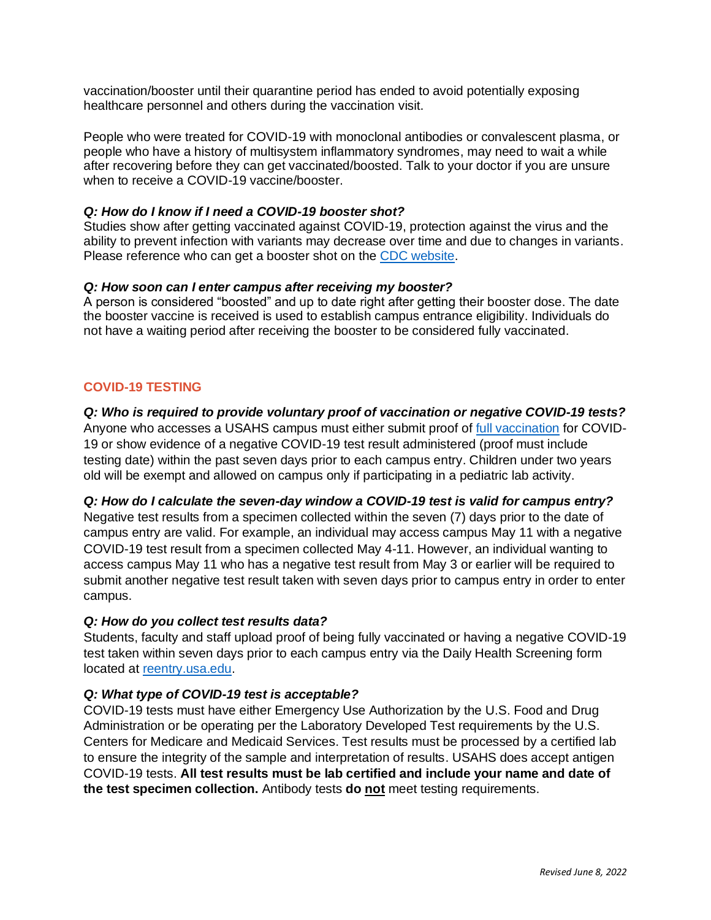vaccination/booster until their quarantine period has ended to avoid potentially exposing healthcare personnel and others during the vaccination visit.

People who were treated for COVID-19 with monoclonal antibodies or convalescent plasma, or people who have a history of multisystem inflammatory syndromes, may need to wait a while after recovering before they can get vaccinated/boosted. Talk to your doctor if you are unsure when to receive a COVID-19 vaccine/booster.

#### *Q: How do I know if I need a COVID-19 booster shot?*

Studies show after getting vaccinated against COVID-19, protection against the virus and the ability to prevent infection with variants may decrease over time and due to changes in variants. Please reference who can get a booster shot on the [CDC website.](https://www.cdc.gov/coronavirus/2019-ncov/vaccines/booster-shot.html?s_cid=11706:cdc%20covid%20booster%20shot%20guidelines:sem.ga:p:RG:GM:gen:PTN:FY22)

#### *Q: How soon can I enter campus after receiving my booster?*

A person is considered "boosted" and up to date right after getting their booster dose. The date the booster vaccine is received is used to establish campus entrance eligibility. Individuals do not have a waiting period after receiving the booster to be considered fully vaccinated.

# **COVID-19 TESTING**

#### *Q: Who is required to provide voluntary proof of vaccination or negative COVID-19 tests?*

Anyone who accesses a USAHS campus must either submit proof o[f full vaccination](https://www.cdc.gov/coronavirus/2019-ncov/vaccines/fully-vaccinated.html?s_cid=11350:cdc%20guidance%20fully%20vaccinated:sem.ga:p:RG:GM:gen:PTN:FY21) for COVID-19 or show evidence of a negative COVID-19 test result administered (proof must include testing date) within the past seven days prior to each campus entry. Children under two years old will be exempt and allowed on campus only if participating in a pediatric lab activity.

#### *Q: How do I calculate the seven-day window a COVID-19 test is valid for campus entry?*

Negative test results from a specimen collected within the seven (7) days prior to the date of campus entry are valid. For example, an individual may access campus May 11 with a negative COVID-19 test result from a specimen collected May 4-11. However, an individual wanting to access campus May 11 who has a negative test result from May 3 or earlier will be required to submit another negative test result taken with seven days prior to campus entry in order to enter campus.

## *Q: How do you collect test results data?*

Students, faculty and staff upload proof of being fully vaccinated or having a negative COVID-19 test taken within seven days prior to each campus entry via the Daily Health Screening form located at [reentry.usa.edu.](https://reentry2.usa.edu/)

## *Q: What type of COVID-19 test is acceptable?*

COVID-19 tests must have either Emergency Use Authorization by the U.S. Food and Drug Administration or be operating per the Laboratory Developed Test requirements by the U.S. Centers for Medicare and Medicaid Services. Test results must be processed by a certified lab to ensure the integrity of the sample and interpretation of results. USAHS does accept antigen COVID-19 tests. **All test results must be lab certified and include your name and date of the test specimen collection.** Antibody tests **do not** meet testing requirements.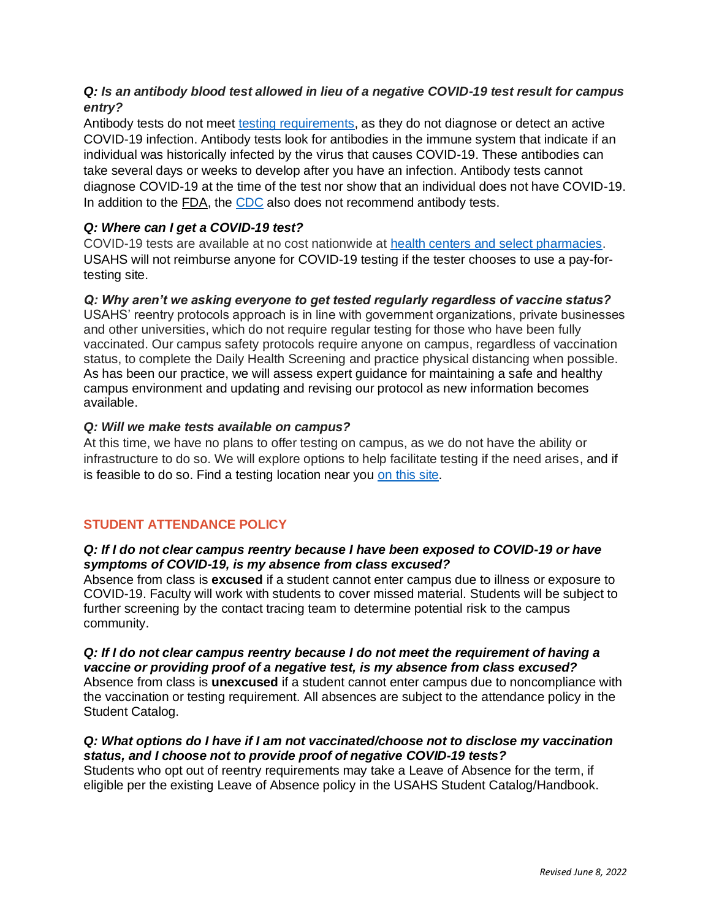# *Q: Is an antibody blood test allowed in lieu of a negative COVID-19 test result for campus entry?*

Antibody tests do not meet [testing requirements,](https://www.fda.gov/consumers/consumer-updates/coronavirus-disease-2019-testing-basics) as they do not diagnose or detect an active COVID-19 infection. Antibody tests look for antibodies in the immune system that indicate if an individual was historically infected by the virus that causes COVID-19. These antibodies can take several days or weeks to develop after you have an infection. Antibody tests cannot diagnose COVID-19 at the time of the test nor show that an individual does not have COVID-19. In addition to the [FDA,](https://www.fda.gov/consumers/consumer-updates/coronavirus-disease-2019-testing-basics) the [CDC](https://www.cdc.gov/coronavirus/2019-ncov/symptoms-testing/testing.html) also does not recommend antibody tests.

# *Q: Where can I get a COVID-19 test?*

COVID-19 tests are available at no cost nationwide at [health centers and select pharmacies.](https://www.hhs.gov/coronavirus/community-based-testing-sites/index.html) USAHS will not reimburse anyone for COVID-19 testing if the tester chooses to use a pay-fortesting site.

#### *Q: Why aren't we asking everyone to get tested regularly regardless of vaccine status?*

USAHS' reentry protocols approach is in line with government organizations, private businesses and other universities, which do not require regular testing for those who have been fully vaccinated. Our campus safety protocols require anyone on campus, regardless of vaccination status, to complete the Daily Health Screening and practice physical distancing when possible. As has been our practice, we will assess expert guidance for maintaining a safe and healthy campus environment and updating and revising our protocol as new information becomes available.

#### *Q: Will we make tests available on campus?*

At this time, we have no plans to offer testing on campus, as we do not have the ability or infrastructure to do so. We will explore options to help facilitate testing if the need arises, and if is feasible to do so. Find a testing location near you [on this site.](https://www.hhs.gov/coronavirus/community-based-testing-sites/index.html)

## **STUDENT ATTENDANCE POLICY**

#### *Q: If I do not clear campus reentry because I have been exposed to COVID-19 or have symptoms of COVID-19, is my absence from class excused?*

Absence from class is **excused** if a student cannot enter campus due to illness or exposure to COVID-19. Faculty will work with students to cover missed material. Students will be subject to further screening by the contact tracing team to determine potential risk to the campus community.

#### *Q: If I do not clear campus reentry because I do not meet the requirement of having a vaccine or providing proof of a negative test, is my absence from class excused?* Absence from class is **unexcused** if a student cannot enter campus due to noncompliance with the vaccination or testing requirement. All absences are subject to the attendance policy in the Student Catalog.

## *Q: What options do I have if I am not vaccinated/choose not to disclose my vaccination status, and I choose not to provide proof of negative COVID-19 tests?*

Students who opt out of reentry requirements may take a Leave of Absence for the term, if eligible per the existing Leave of Absence policy in the USAHS Student Catalog/Handbook.